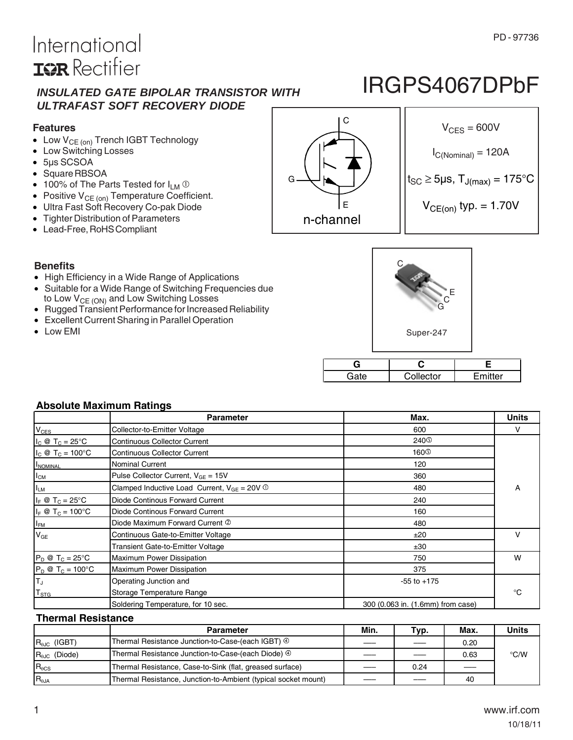### PD - 97736

# International **IGR** Rectifier

### *INSULATED GATE BIPOLAR TRANSISTOR WITH ULTRAFAST SOFT RECOVERY DIODE*

### **Features**

- $\bullet$  Low  $V_{CE (on)}$  Trench IGBT Technology
- Low Switching Losses
- 5μs SCSOA
- Square RBSOA
- 100% of The Parts Tested for  $I_{LM}$   $\odot$
- **Positive**  $V_{CE (on)}$  **Temperature Coefficient.**
- Ultra Fast Soft Recovery Co-pak Diode
- Tighter Distribution of Parameters
- Lead-Free, RoHS Compliant

E G n-channel

IRGPS4067DPbF



### **Benefits**

- High Efficiency in a Wide Range of Applications
- Suitable for a Wide Range of Switching Frequencies due to Low  $V_{CE (ON)}$  and Low Switching Losses
- Rugged Transient Performance for Increased Reliability
- Excellent Current Sharing in Parallel Operation
- Low EMI



| '4s | Collector | ⊏mitter |  |
|-----|-----------|---------|--|

### **Absolute Maximum Ratings**

|                                  | <b>Parameter</b>                                            | Max.                              | <b>Units</b> |
|----------------------------------|-------------------------------------------------------------|-----------------------------------|--------------|
| $V_{CES}$                        | Collector-to-Emitter Voltage                                | 600                               | v            |
| $I_C \otimes T_C = 25^{\circ}C$  | <b>Continuous Collector Current</b>                         | 240 <sup>O</sup>                  |              |
| $I_C \otimes T_C = 100^{\circ}C$ | <b>Continuous Collector Current</b>                         | 160 <sup>①</sup>                  |              |
| <b>INOMINAL</b>                  | Nominal Current                                             | 120                               |              |
| $I_{CM}$                         | Pulse Collector Current, $V_{GE} = 15V$                     | 360                               |              |
| I <sub>LM</sub>                  | Clamped Inductive Load Current, $V_{GE} = 20V$ <sup>1</sup> | 480                               | A            |
| $I_F \otimes T_C = 25^{\circ}C$  | Diode Continous Forward Current                             | 240                               |              |
| $I_F \otimes T_C = 100^{\circ}C$ | Diode Continous Forward Current                             | 160                               |              |
| $I_{FM}$                         | Diode Maximum Forward Current 2                             | 480                               |              |
| $V_{GE}$                         | Continuous Gate-to-Emitter Voltage                          | ±20                               | v            |
|                                  | Transient Gate-to-Emitter Voltage                           | ±30                               |              |
| $P_D @ T_C = 25^{\circ}C$        | Maximum Power Dissipation                                   | 750                               | W            |
| $P_D @ T_C = 100^{\circ}C$       | Maximum Power Dissipation                                   | 375                               |              |
| Iτ,                              | Operating Junction and                                      | $-55$ to $+175$                   |              |
| $T_{\mathtt{STG}}$               | Storage Temperature Range                                   |                                   | °C           |
|                                  | Soldering Temperature, for 10 sec.                          | 300 (0.063 in. (1.6mm) from case) |              |

### **Thermal Resistance**

|                                   | <b>Parameter</b>                                               | Min. | Typ. | Max. | <b>Units</b> |
|-----------------------------------|----------------------------------------------------------------|------|------|------|--------------|
| $R_{\theta$ J <sub>C</sub> (IGBT) | Thermal Resistance Junction-to-Case-(each IGBT) ⊕              |      |      | 0.20 |              |
| $R_{0,IC}$ (Diode)                | Thermal Resistance Junction-to-Case-(each Diode) 4             |      |      | 0.63 | °C/W         |
| $R_{\theta CS}$                   | Thermal Resistance, Case-to-Sink (flat, greased surface)       |      | 0.24 |      |              |
| $R_{0,IA}$                        | Thermal Resistance, Junction-to-Ambient (typical socket mount) |      |      | 40   |              |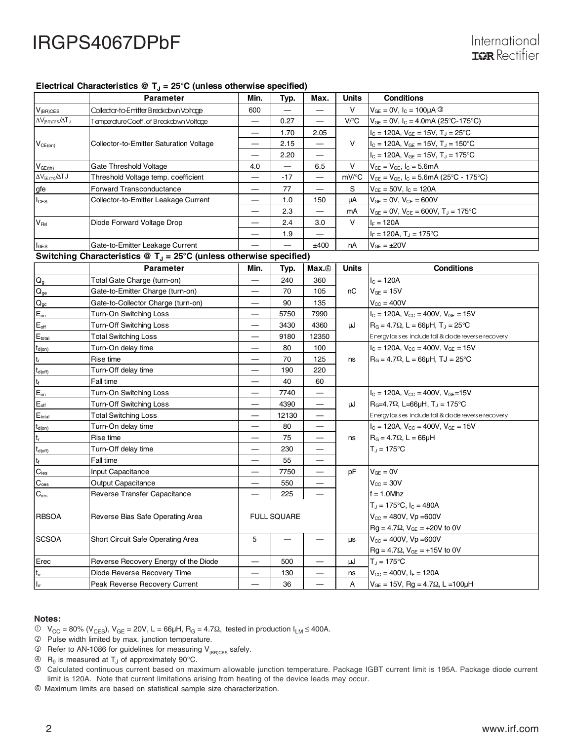### Electrical Characteristics  $\circledR$  T<sub>J</sub> = 25°C (unless otherwise specified)

|                                            | <b>Parameter</b>                        | Min. | Typ.  | Max. | <b>Units</b> | <b>Conditions</b>                                               |
|--------------------------------------------|-----------------------------------------|------|-------|------|--------------|-----------------------------------------------------------------|
| $V_{(BR)CES}$                              | Collector-to-Emitter Breakdown Voltage  | 600  |       |      | v            | $V_{GF}$ = 0V, $I_C$ = 100µA $\circled{}$                       |
| $\Delta V_{\text{BR})\text{CES}}/\Delta T$ | TemperatureCoeff.of Breakdown Voltage   |      | 0.27  | —    | V/C          | $V_{GF}$ = 0V, $I_C$ = 4.0mA (25°C-175°C)                       |
|                                            |                                         |      | 1.70  | 2.05 |              | $I_{\rm C}$ = 120A, $V_{\rm GE}$ = 15V, T <sub>J</sub> = 25°C   |
| $V_{CE(on)}$                               | Collector-to-Emitter Saturation Voltage |      | 2.15  |      | v            | $I_{\rm C}$ = 120A, $V_{\rm GE}$ = 15V, T <sub>J</sub> = 150 °C |
|                                            |                                         |      | 2.20  | –    |              | $I_C = 120A$ , $V_{GE} = 15V$ , $T_J = 175^{\circ}C$            |
| $V_{GE(th)}$                               | Gate Threshold Voltage                  | 4.0  |       | 6.5  | v            | $V_{CE} = V_{GE}$ , $I_C = 5.6$ mA                              |
| $\Delta V_{CE(H)} / \Delta T$ J            | Threshold Voltage temp. coefficient     |      | $-17$ |      | mV/°C        | $V_{CE} = V_{GE}$ , $I_C = 5.6$ mA (25°C - 175°C)               |
| gfe                                        | <b>Forward Transconductance</b>         |      | 77    |      | S            | $V_{CE} = 50V$ , $I_C = 120A$                                   |
| $I_{CES}$                                  | Collector-to-Emitter Leakage Current    |      | 1.0   | 150  | uA           | $V_{GE} = 0V$ , $V_{CE} = 600V$                                 |
|                                            |                                         |      | 2.3   |      | mA           | $V_{GE} = 0V$ , $V_{CE} = 600V$ , $T_J = 175$ °C                |
| V <sub>FM</sub>                            | Diode Forward Voltage Drop              |      | 2.4   | 3.0  | v            | $I_F = 120A$                                                    |
|                                            |                                         |      | 1.9   |      |              | $I_F = 120A$ , $T_J = 175^{\circ}C$                             |
| $I_{\texttt{GES}}$                         | Gate-to-Emitter Leakage Current         |      |       | ±400 | nA           | $V_{GE} = \pm 20V$                                              |

### Switching Characteristics @ T<sub>J</sub> = 25°C (unless otherwise specified)

|                             | <b>Parameter</b>                     | Min. | Typ.               | Max. <sup>®</sup>                | <b>Units</b> | <b>Conditions</b>                                    |
|-----------------------------|--------------------------------------|------|--------------------|----------------------------------|--------------|------------------------------------------------------|
| $\mathsf{Q}_{\mathsf{g}}$   | Total Gate Charge (turn-on)          |      | 240                | 360                              |              | $I_C = 120A$                                         |
| $\mathsf{Q}_\mathsf{ge}$    | Gate-to-Emitter Charge (turn-on)     |      | 70                 | 105                              | nC           | $V_{GE} = 15V$                                       |
| $\mathbf{Q}_{\text{gc}}$    | Gate-to-Collector Charge (turn-on)   |      | 90                 | 135                              |              | $V_{\text{CC}} = 400V$                               |
| $E_{on}$                    | Turn-On Switching Loss               |      | 5750               | 7990                             |              | $I_C = 120A$ , $V_{CC} = 400V$ , $V_{GE} = 15V$      |
| $\mathsf{E}_{\mathsf{off}}$ | Turn-Off Switching Loss              |      | 3430               | 4360                             | uJ           | $R_0 = 4.7\Omega$ , L = 66uH, T <sub>J</sub> = 25 °C |
| $E_{total}$                 | <b>Total Switching Loss</b>          |      | 9180               | 12350                            |              | Energy losses include tall & diode reverse recovery  |
| $t_{d(on)}$                 | Turn-On delay time                   |      | 80                 | 100                              |              | $I_C = 120A$ , $V_{CC} = 400V$ , $V_{GE} = 15V$      |
| $\mathsf{t}_\mathsf{r}$     | Rise time                            |      | 70                 | 125                              | ns           | $R_G = 4.7\Omega$ , L = 66µH, TJ = 25°C              |
| $t_{d(off)}$                | Turn-Off delay time                  |      | 190                | 220                              |              |                                                      |
| $\mathsf{t}_{\mathsf{f}}$   | Fall time                            |      | 40                 | 60                               |              |                                                      |
| $E_{on}$                    | Turn-On Switching Loss               |      | 7740               | —                                |              | $I_C = 120A$ , $V_{CC} = 400V$ , $V_{GF} = 15V$      |
| $\mathsf{E}_{\mathsf{off}}$ | Turn-Off Switching Loss              |      | 4390               | $\overbrace{\phantom{12322111}}$ | μJ           | $R_0$ =4.7 $\Omega$ , L=66µH, T, = 175°C             |
| $E_{total}$                 | <b>Total Switching Loss</b>          |      | 12130              | —                                |              | Energy losses include tail & diode reverse recovery  |
| $t_{d(0n)}$                 | Turn-On delay time                   |      | 80                 |                                  |              | $I_C = 120A$ , $V_{CC} = 400V$ , $V_{GE} = 15V$      |
| $\mathsf{t}_\mathsf{r}$     | Rise time                            |      | 75                 | —                                | ns           | $R_G = 4.7\Omega$ , L = 66µH                         |
| $t_{d(off)}$                | Turn-Off delay time                  |      | 230                | —                                |              | $T_J = 175$ °C                                       |
| $\mathsf{t}_{\mathsf{f}}$   | Fall time                            |      | 55                 | —                                |              |                                                      |
| $C_{\text{ies}}$            | <b>Input Capacitance</b>             |      | 7750               | —                                | pF           | $V_{GE} = 0V$                                        |
| $C_{\text{oes}}$            | Output Capacitance                   |      | 550                | $\overline{\phantom{0}}$         |              | $V_{CC} = 30V$                                       |
| $C_{res}$                   | Reverse Transfer Capacitance         |      | 225                |                                  |              | $f = 1.0$ Mhz                                        |
|                             |                                      |      |                    |                                  |              | $T_{\rm J} = 175^{\circ}$ C, $I_{\rm C} = 480$ A     |
| <b>RBSOA</b>                | Reverse Bias Safe Operating Area     |      | <b>FULL SQUARE</b> |                                  |              | $V_{CC} = 480V$ , $Vp = 600V$                        |
|                             |                                      |      |                    |                                  |              | $Rg = 4.7\Omega$ , $V_{GE} = +20V$ to 0V             |
| <b>SCSOA</b>                | Short Circuit Safe Operating Area    | 5    |                    |                                  | <b>US</b>    | $V_{\text{CC}} = 400V$ , $V_{\text{D}} = 600V$       |
|                             |                                      |      |                    |                                  |              | $Rg = 4.7 \Omega$ , $V_{GE} = +15V$ to 0V            |
| Erec                        | Reverse Recovery Energy of the Diode |      | 500                | —                                | μJ           | $T_{d} = 175^{\circ}C$                               |
| $t_{\rm rr}$                | Diode Reverse Recovery Time          |      | 130                |                                  | ns           | $V_{CC} = 400V$ , $I_F = 120A$                       |
| $\mathsf{I}_{\mathsf{rr}}$  | Peak Reverse Recovery Current        |      | 36                 |                                  | A            | $V_{GE}$ = 15V, Rg = 4.7 $\Omega$ , L = 100 $\mu$ H  |

#### **Notes:**

- $V_{\text{CC}} = 80\%$  (V<sub>CES</sub>), V<sub>GE</sub> = 20V, L = 66μH, R<sub>G</sub> = 4.7Ω, tested in production I<sub>LM</sub> ≤ 400A.
- Pulse width limited by max. junction temperature.
- **B** Refer to AN-1086 for guidelines for measuring  $V_{(BR)CES}$  safely.
- $\circledA$  R<sub>0</sub> is measured at T<sub>J</sub> of approximately 90°C.
- Calculated continuous current based on maximum allowable junction temperature. Package IGBT current limit is 195A. Package diode current limit is 120A. Note that current limitations arising from heating of the device leads may occur.
- Maximum limits are based on statistical sample size characterization.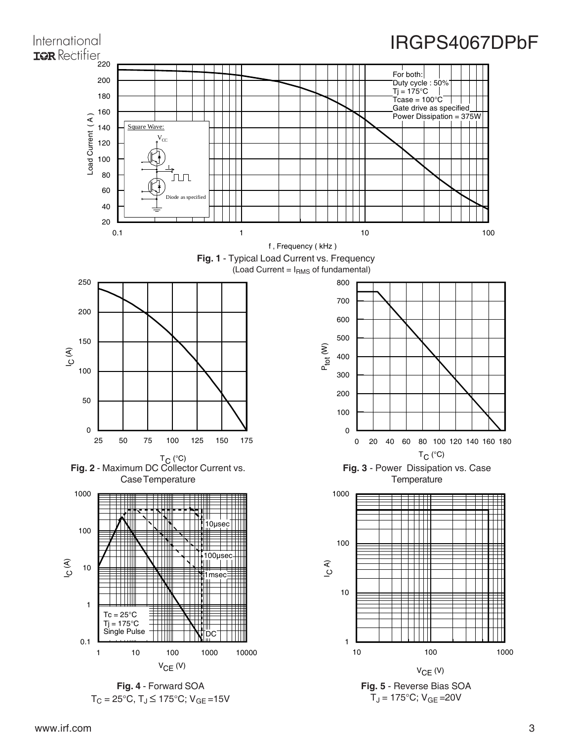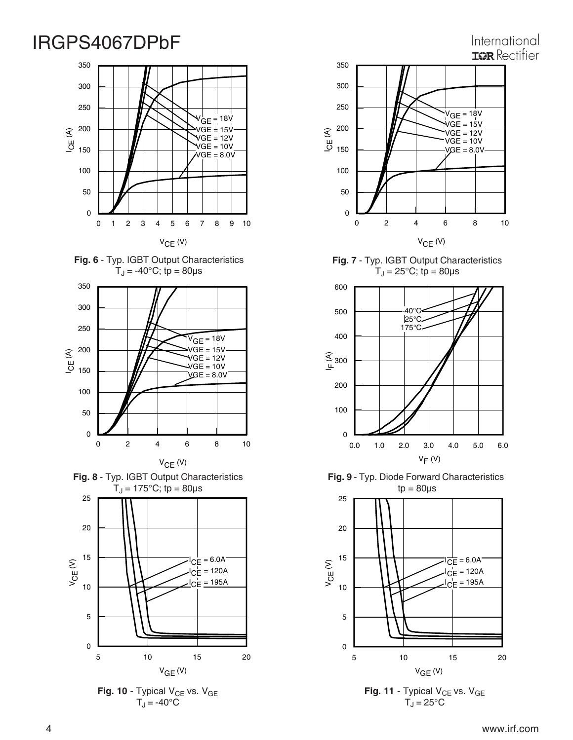## International **IGR** Rectifier















**Fig. 7** - Typ. IGBT Output Characteristics  $T_J = 25$ °C; tp = 80 $\mu$ s



**Fig. 9** - Typ. Diode Forward Characteristics  $tp = 80\mu s$ 



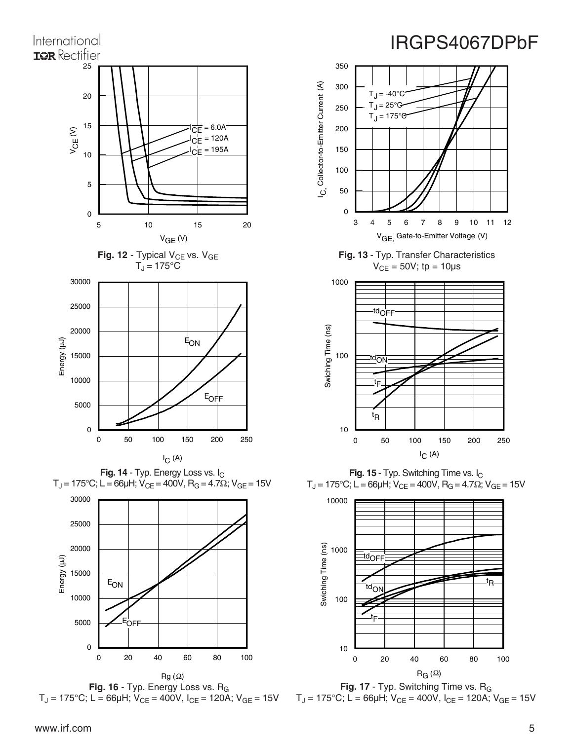







Fig. 16 - Typ. Energy Loss vs. R<sub>G</sub>  $T_J = 175^{\circ}$ C; L = 66µH; V<sub>CE</sub> = 400V, I<sub>CE</sub> = 120A; V<sub>GE</sub> = 15V





**Fig. 15** - Typ. Switching Time vs. I<sub>C</sub>  $T_J = 175^{\circ}$ C; L = 66μH; V<sub>CE</sub> = 400V, R<sub>G</sub> = 4.7Ω; V<sub>GE</sub> = 15V



Fig. 17 - Typ. Switching Time vs. R<sub>G</sub>  $T_J = 175^{\circ}$ C; L = 66µH; V<sub>CE</sub> = 400V, I<sub>CE</sub> = 120A; V<sub>GE</sub> = 15V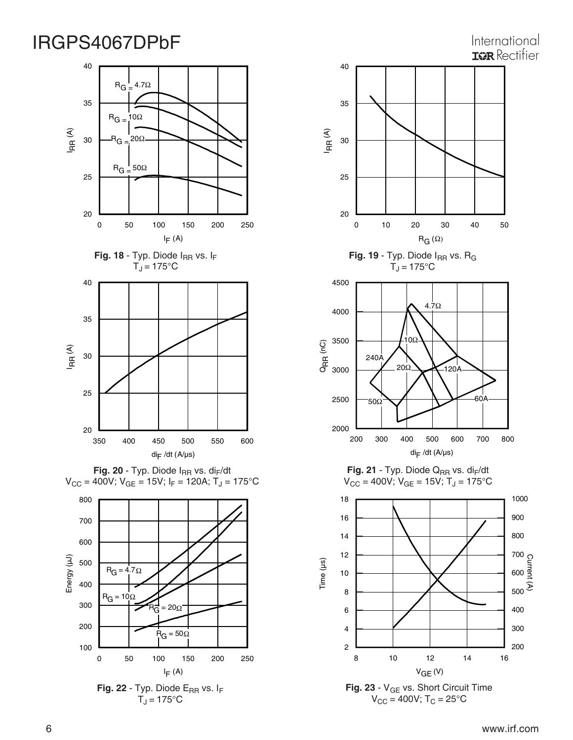## Fig. 18 - Typ. Diode I<sub>RR</sub> vs. I<sub>F</sub>  $T_J = 175$ °C 0 50 100 150 200 250 l<sub>F</sub> (A) 20 25 30 35 40 IR R (A)  $R_{G} = 10\Omega$  $R_G = 4.7\Omega$  $B_G = 20\Omega$  $R_{\text{G}} = 50\Omega$ 350 400 450 500 550 600  $di$ F /dt (A/µs) 20 25 30 35 40 IR R (A)





 $T_J = 175$ °C



200 300 400

**Fig. 23** - V<sub>GE</sub> vs. Short Circuit Time  $V_{CC} = 400V$ ; T<sub>C</sub> = 25°C

2 4 6

> 8 10 12 14 16  $V_{GE}$  (V)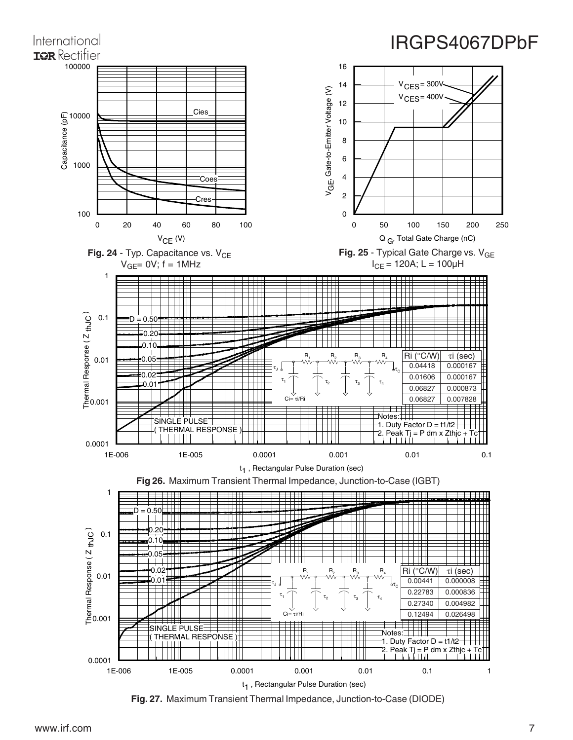

www.irf.com 7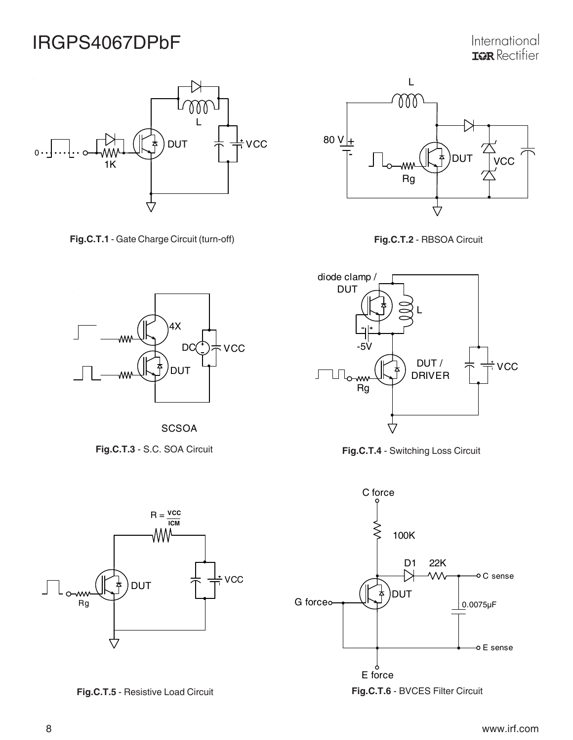International **IQR** Rectifier



**Fig.C.T.1** - Gate Charge Circuit (turn-off) **Fig.C.T.2** - RBSOA Circuit















**SCSOA** 

**Fig.C.T.3** - S.C. SOA Circuit



**Fig.C.T.5** - Resistive Load Circuit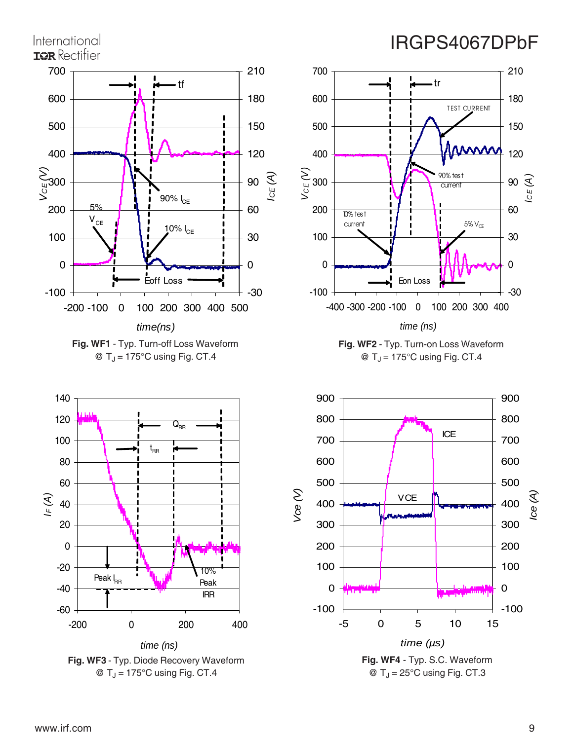